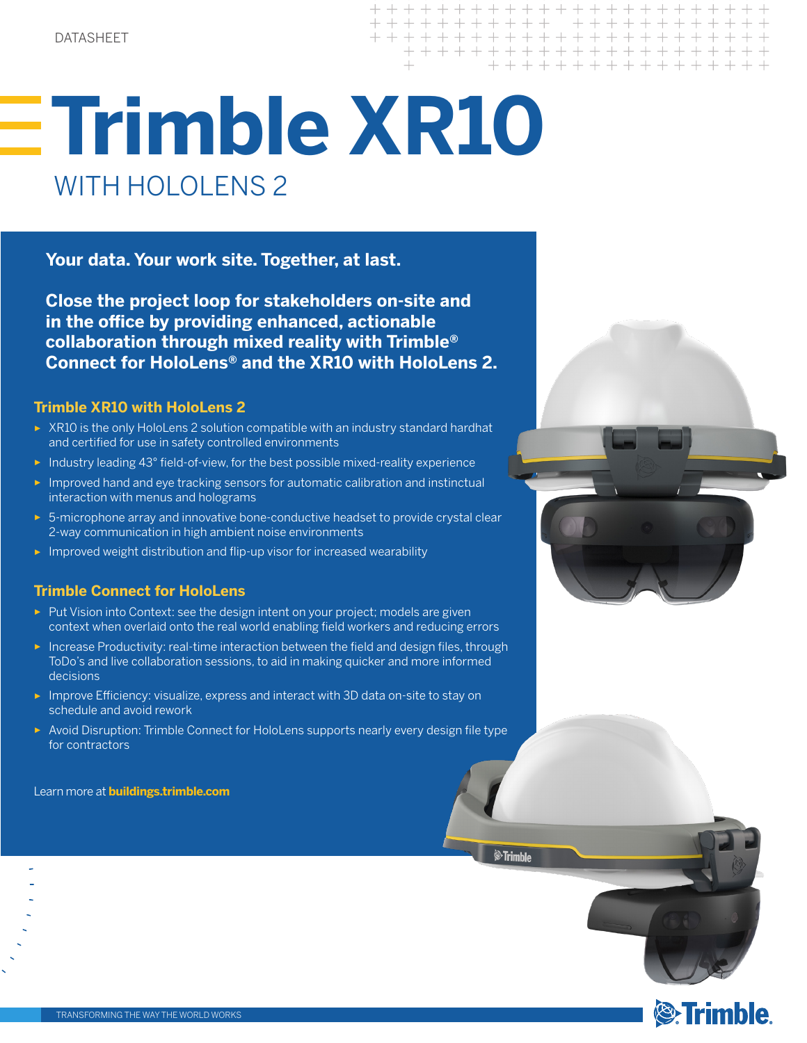+ + + + + + + + + + + + + + + + + + + + + + + + + + + + + + + + + + + + + + + + + + + + + + + + + + + +

# **Trimble XR10** WITH HOLOLENS 2

**Your data. Your work site. Together, at last.** 

**Close the project loop for stakeholders on-site and in the office by providing enhanced, actionable collaboration through mixed reality with Trimble® Connect for HoloLens® and the XR10 with HoloLens 2.**

### **Trimble XR10 with HoloLens 2**

- ► XR10 is the only HoloLens 2 solution compatible with an industry standard hardhat and certified for use in safety controlled environments
- ► Industry leading 43° field-of-view, for the best possible mixed-reality experience
- ► Improved hand and eye tracking sensors for automatic calibration and instinctual interaction with menus and holograms
- ► 5-microphone array and innovative bone-conductive headset to provide crystal clear 2-way communication in high ambient noise environments
- ► Improved weight distribution and flip-up visor for increased wearability

### **Trimble Connect for HoloLens**

- ► Put Vision into Context: see the design intent on your project; models are given context when overlaid onto the real world enabling field workers and reducing errors
- ► Increase Productivity: real-time interaction between the field and design files, through ToDo's and live collaboration sessions, to aid in making quicker and more informed decisions
- ► Improve Efficiency: visualize, express and interact with 3D data on-site to stay on schedule and avoid rework
- ► Avoid Disruption: Trimble Connect for HoloLens supports nearly every design file type for contractors

Learn more at **buildings.trimble.com**



.<br>⊗Trimble